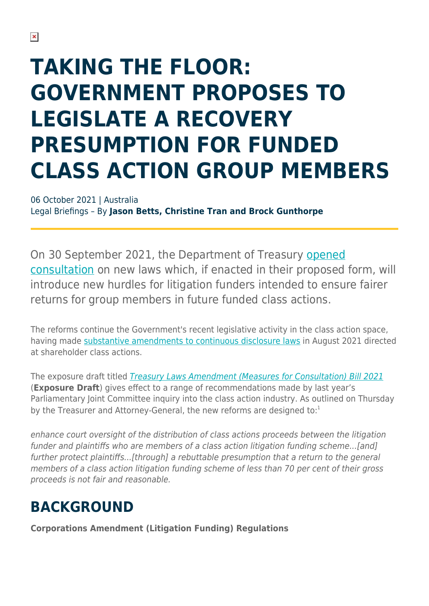# **TAKING THE FLOOR: GOVERNMENT PROPOSES TO LEGISLATE A RECOVERY PRESUMPTION FOR FUNDED CLASS ACTION GROUP MEMBERS**

06 October 2021 | Australia Legal Briefings – By **Jason Betts, Christine Tran and Brock Gunthorpe**

On 30 September 2021, the Department of Treasury [opened](https://treasury.gov.au/consultation/c2021-211417) [consultation](https://treasury.gov.au/consultation/c2021-211417) on new laws which, if enacted in their proposed form, will introduce new hurdles for litigation funders intended to ensure fairer returns for group members in future funded class actions.

The reforms continue the Government's recent legislative activity in the class action space, having made [substantive amendments to continuous disclosure laws](https://www.herbertsmithfreehills.com/latest-thinking/australian-federal-government-seeks-to-permanently-ease-continuous-disclosure-rules) in August 2021 directed at shareholder class actions.

The exposure draft titled [Treasury Laws Amendment \(Measures for Consultation\) Bill 2021](https://treasury.gov.au/sites/default/files/2021-09/c2021-211417-exposure-draft-funders.pdf) (**Exposure Draft**) gives effect to a range of recommendations made by last year's Parliamentary Joint Committee inquiry into the class action industry. As outlined on Thursday by the Treasurer and Attorney-General, the new reforms are designed to: $1$ 

enhance court oversight of the distribution of class actions proceeds between the litigation funder and plaintiffs who are members of a class action litigation funding scheme...[and] further protect plaintiffs...[through] a rebuttable presumption that a return to the general members of a class action litigation funding scheme of less than 70 per cent of their gross proceeds is not fair and reasonable.

## **BACKGROUND**

**Corporations Amendment (Litigation Funding) Regulations**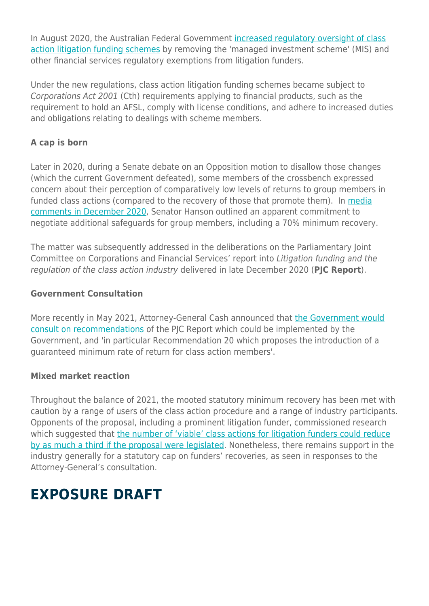In August 2020, the Australian Federal Government [increased regulatory oversight of class](https://www.herbertsmithfreehills.com/latest-thinking/funded-class-actions-under-the-spotlight-australian-federal-government-introduces) [action litigation funding schemes](https://www.herbertsmithfreehills.com/latest-thinking/funded-class-actions-under-the-spotlight-australian-federal-government-introduces) by removing the 'managed investment scheme' (MIS) and other financial services regulatory exemptions from litigation funders.

Under the new regulations, class action litigation funding schemes became subject to Corporations Act 2001 (Cth) requirements applying to financial products, such as the requirement to hold an AFSL, comply with license conditions, and adhere to increased duties and obligations relating to dealings with scheme members.

### **A cap is born**

Later in 2020, during a Senate debate on an Opposition motion to disallow those changes (which the current Government defeated), some members of the crossbench expressed concern about their perception of comparatively low levels of returns to group members in funded class actions (compared to the recovery of those that promote them). In [media](https://www.afr.com/politics/federal/class-action-litigation-funding-rules-at-risk-of-defeat-20201130-p56j9s) [comments in December 2020](https://www.afr.com/politics/federal/class-action-litigation-funding-rules-at-risk-of-defeat-20201130-p56j9s), Senator Hanson outlined an apparent commitment to negotiate additional safeguards for group members, including a 70% minimum recovery.

The matter was subsequently addressed in the deliberations on the Parliamentary Joint Committee on Corporations and Financial Services' report into Litigation funding and the regulation of the class action industry delivered in late December 2020 (**PJC Report**).

#### **Government Consultation**

More recently in May 2021, Attorney-General Cash announced that [the Government would](https://ministers.treasury.gov.au/ministers/josh-frydenberg-2018/media-releases/consulting-recommendations-parliamentary-joint) [consult on recommendations](https://ministers.treasury.gov.au/ministers/josh-frydenberg-2018/media-releases/consulting-recommendations-parliamentary-joint) of the PJC Report which could be implemented by the Government, and 'in particular Recommendation 20 which proposes the introduction of a guaranteed minimum rate of return for class action members'.

#### **Mixed market reaction**

Throughout the balance of 2021, the mooted statutory minimum recovery has been met with caution by a range of users of the class action procedure and a range of industry participants. Opponents of the proposal, including a prominent litigation funder, commissioned research which suggested that [the number of 'viable' class actions for litigation funders could reduce](https://www.afr.com/politics/federal/cap-on-litigation-funder-returns-could-make-class-actions-unviable-20210314-p57aix) [by as much a third if the proposal were legislated](https://www.afr.com/politics/federal/cap-on-litigation-funder-returns-could-make-class-actions-unviable-20210314-p57aix). Nonetheless, there remains support in the industry generally for a statutory cap on funders' recoveries, as seen in responses to the Attorney-General's consultation.

## **EXPOSURE DRAFT**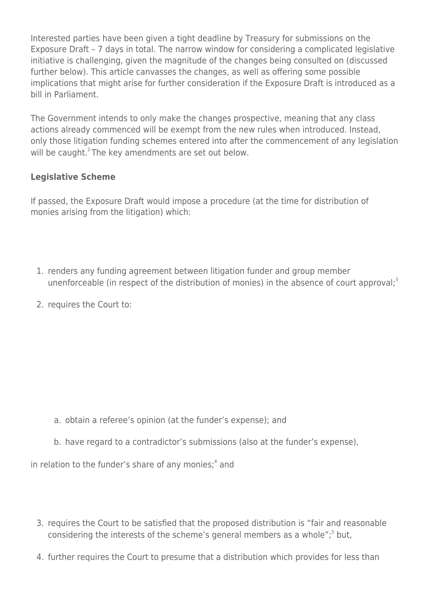Interested parties have been given a tight deadline by Treasury for submissions on the Exposure Draft – 7 days in total. The narrow window for considering a complicated legislative initiative is challenging, given the magnitude of the changes being consulted on (discussed further below). This article canvasses the changes, as well as offering some possible implications that might arise for further consideration if the Exposure Draft is introduced as a bill in Parliament.

The Government intends to only make the changes prospective, meaning that any class actions already commenced will be exempt from the new rules when introduced. Instead, only those litigation funding schemes entered into after the commencement of any legislation will be caught. $2$ The key amendments are set out below.

### **Legislative Scheme**

If passed, the Exposure Draft would impose a procedure (at the time for distribution of monies arising from the litigation) which:

- 1. renders any funding agreement between litigation funder and group member unenforceable (in respect of the distribution of monies) in the absence of court approval;<sup>3</sup>
- 2. requires the Court to:

- a. obtain a referee's opinion (at the funder's expense); and
- b. have regard to a contradictor's submissions (also at the funder's expense),

in relation to the funder's share of any monies;<sup>4</sup> and

- 3. requires the Court to be satisfied that the proposed distribution is "fair and reasonable considering the interests of the scheme's general members as a whole";<sup>5</sup> but,
- 4. further requires the Court to presume that a distribution which provides for less than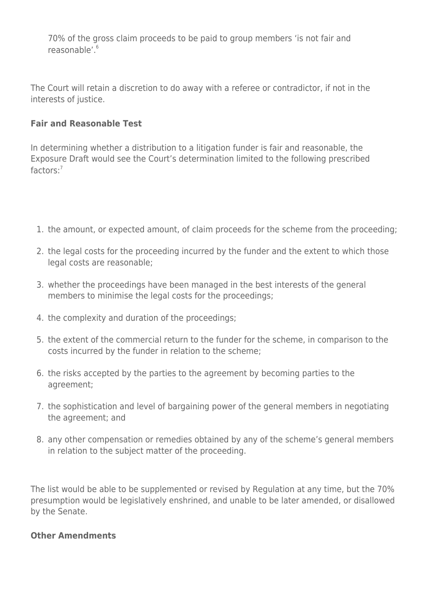70% of the gross claim proceeds to be paid to group members 'is not fair and reasonable'.<sup>6</sup>

The Court will retain a discretion to do away with a referee or contradictor, if not in the interests of justice.

#### **Fair and Reasonable Test**

In determining whether a distribution to a litigation funder is fair and reasonable, the Exposure Draft would see the Court's determination limited to the following prescribed factors:<sup>7</sup>

- 1. the amount, or expected amount, of claim proceeds for the scheme from the proceeding;
- 2. the legal costs for the proceeding incurred by the funder and the extent to which those legal costs are reasonable;
- 3. whether the proceedings have been managed in the best interests of the general members to minimise the legal costs for the proceedings;
- 4. the complexity and duration of the proceedings;
- 5. the extent of the commercial return to the funder for the scheme, in comparison to the costs incurred by the funder in relation to the scheme;
- 6. the risks accepted by the parties to the agreement by becoming parties to the agreement;
- 7. the sophistication and level of bargaining power of the general members in negotiating the agreement; and
- 8. any other compensation or remedies obtained by any of the scheme's general members in relation to the subject matter of the proceeding.

The list would be able to be supplemented or revised by Regulation at any time, but the 70% presumption would be legislatively enshrined, and unable to be later amended, or disallowed by the Senate.

#### **Other Amendments**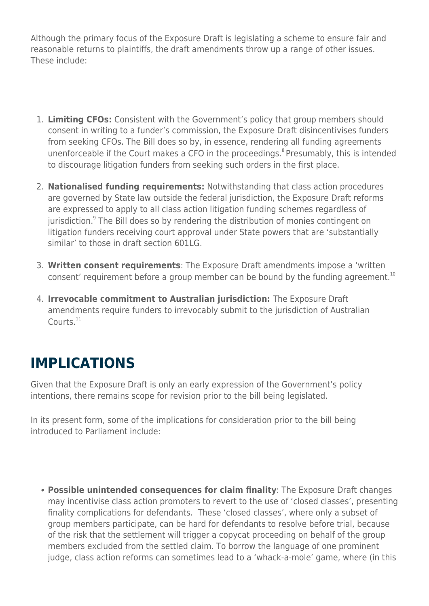Although the primary focus of the Exposure Draft is legislating a scheme to ensure fair and reasonable returns to plaintiffs, the draft amendments throw up a range of other issues. These include:

- 1. **Limiting CFOs:** Consistent with the Government's policy that group members should consent in writing to a funder's commission, the Exposure Draft disincentivises funders from seeking CFOs. The Bill does so by, in essence, rendering all funding agreements unenforceable if the Court makes a CFO in the proceedings.<sup>8</sup> Presumably, this is intended to discourage litigation funders from seeking such orders in the first place.
- 2. **Nationalised funding requirements:** Notwithstanding that class action procedures are governed by State law outside the federal jurisdiction, the Exposure Draft reforms are expressed to apply to all class action litigation funding schemes regardless of jurisdiction.<sup>9</sup> The Bill does so by rendering the distribution of monies contingent on litigation funders receiving court approval under State powers that are 'substantially similar' to those in draft section 601LG.
- 3. **Written consent requirements**: The Exposure Draft amendments impose a 'written consent' requirement before a group member can be bound by the funding agreement.<sup>10</sup>
- 4. **Irrevocable commitment to Australian jurisdiction:** The Exposure Draft amendments require funders to irrevocably submit to the jurisdiction of Australian Courts<sup>11</sup>

## **IMPLICATIONS**

Given that the Exposure Draft is only an early expression of the Government's policy intentions, there remains scope for revision prior to the bill being legislated.

In its present form, some of the implications for consideration prior to the bill being introduced to Parliament include:

**Possible unintended consequences for claim finality**: The Exposure Draft changes may incentivise class action promoters to revert to the use of 'closed classes', presenting finality complications for defendants. These 'closed classes', where only a subset of group members participate, can be hard for defendants to resolve before trial, because of the risk that the settlement will trigger a copycat proceeding on behalf of the group members excluded from the settled claim. To borrow the language of one prominent judge, class action reforms can sometimes lead to a 'whack-a-mole' game, where (in this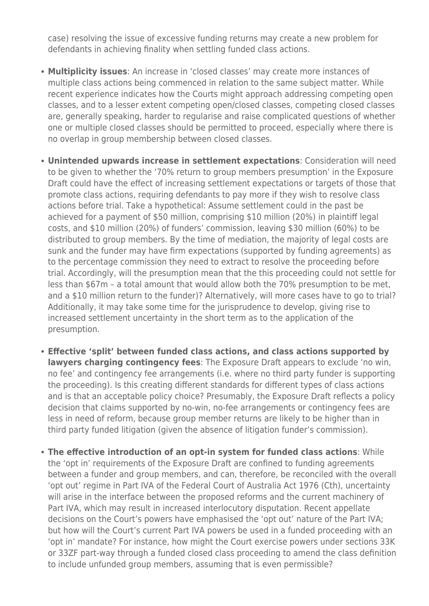case) resolving the issue of excessive funding returns may create a new problem for defendants in achieving finality when settling funded class actions.

- **Multiplicity issues**: An increase in 'closed classes' may create more instances of multiple class actions being commenced in relation to the same subject matter. While recent experience indicates how the Courts might approach addressing competing open classes, and to a lesser extent competing open/closed classes, competing closed classes are, generally speaking, harder to regularise and raise complicated questions of whether one or multiple closed classes should be permitted to proceed, especially where there is no overlap in group membership between closed classes.
- **Unintended upwards increase in settlement expectations**: Consideration will need to be given to whether the '70% return to group members presumption' in the Exposure Draft could have the effect of increasing settlement expectations or targets of those that promote class actions, requiring defendants to pay more if they wish to resolve class actions before trial. Take a hypothetical: Assume settlement could in the past be achieved for a payment of \$50 million, comprising \$10 million (20%) in plaintiff legal costs, and \$10 million (20%) of funders' commission, leaving \$30 million (60%) to be distributed to group members. By the time of mediation, the majority of legal costs are sunk and the funder may have firm expectations (supported by funding agreements) as to the percentage commission they need to extract to resolve the proceeding before trial. Accordingly, will the presumption mean that the this proceeding could not settle for less than \$67m – a total amount that would allow both the 70% presumption to be met, and a \$10 million return to the funder)? Alternatively, will more cases have to go to trial? Additionally, it may take some time for the jurisprudence to develop, giving rise to increased settlement uncertainty in the short term as to the application of the presumption.
- **Effective 'split' between funded class actions, and class actions supported by lawyers charging contingency fees**: The Exposure Draft appears to exclude 'no win, no fee' and contingency fee arrangements (i.e. where no third party funder is supporting the proceeding). Is this creating different standards for different types of class actions and is that an acceptable policy choice? Presumably, the Exposure Draft reflects a policy decision that claims supported by no-win, no-fee arrangements or contingency fees are less in need of reform, because group member returns are likely to be higher than in third party funded litigation (given the absence of litigation funder's commission).
- **The effective introduction of an opt-in system for funded class actions**: While the 'opt in' requirements of the Exposure Draft are confined to funding agreements between a funder and group members, and can, therefore, be reconciled with the overall 'opt out' regime in Part IVA of the Federal Court of Australia Act 1976 (Cth), uncertainty will arise in the interface between the proposed reforms and the current machinery of Part IVA, which may result in increased interlocutory disputation. Recent appellate decisions on the Court's powers have emphasised the 'opt out' nature of the Part IVA; but how will the Court's current Part IVA powers be used in a funded proceeding with an 'opt in' mandate? For instance, how might the Court exercise powers under sections 33K or 33ZF part-way through a funded closed class proceeding to amend the class definition to include unfunded group members, assuming that is even permissible?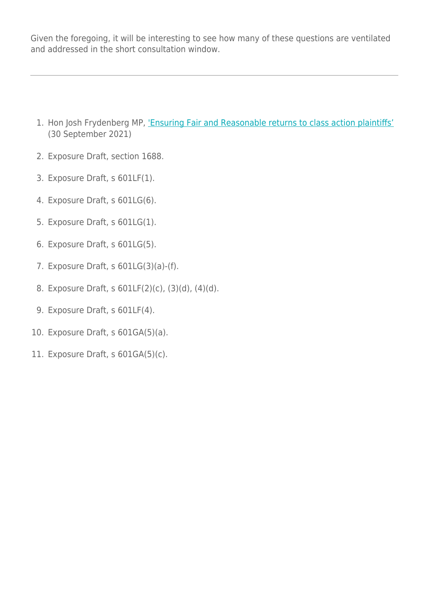Given the foregoing, it will be interesting to see how many of these questions are ventilated and addressed in the short consultation window.

- 1. Hon Josh Frydenberg MP, ['Ensuring Fair and Reasonable returns to class action plaintiffs'](https://ministers.treasury.gov.au/ministers/josh-frydenberg-2018/media-releases/ensuring-fair-and-reasonable-returns-class-action) (30 September 2021)
- 2. Exposure Draft, section 1688.
- 3. Exposure Draft, s 601LF(1).
- 4. Exposure Draft, s 601LG(6).
- 5. Exposure Draft, s 601LG(1).
- 6. Exposure Draft, s 601LG(5).
- 7. Exposure Draft, s 601LG(3)(a)-(f).
- 8. Exposure Draft, s 601LF(2)(c), (3)(d), (4)(d).
- 9. Exposure Draft, s 601LF(4).
- 10. Exposure Draft, s 601GA(5)(a).
- 11. Exposure Draft, s 601GA(5)(c).